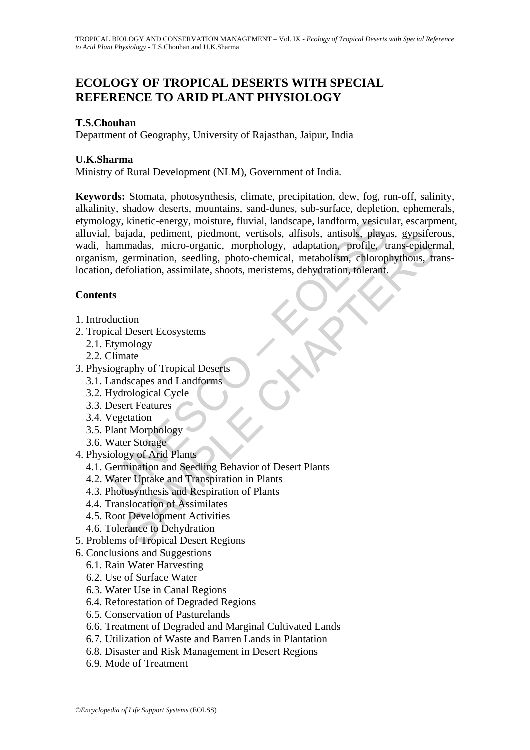# **ECOLOGY OF TROPICAL DESERTS WITH SPECIAL REFERENCE TO ARID PLANT PHYSIOLOGY**

## **T.S.Chouhan**

Department of Geography, University of Rajasthan, Jaipur, India

## **U.K.Sharma**

Ministry of Rural Development (NLM), Government of India*.* 

play, kinetic-energy, moisture, fluvial, landscape, landform, vesicu, bajada, pediment, piedmont, vertisols, alfisols, antisols, playa<br>anammadas, micro-organic, morphology, adaptation, profile, the manimalas, micro-organic algo a, pennent, pheamont, vertisols, anisols, anisols, anisols, paysis, anisols, paysis, anisols, paysis, anisols, paysis, anisols, profile, trans-epidermadas, micro-organic, morbiology, adaptation, choring, chorophythous **Keywords:** Stomata, photosynthesis, climate, precipitation, dew, fog, run-off, salinity, alkalinity, shadow deserts, mountains, sand-dunes, sub-surface, depletion, ephemerals, etymology, kinetic-energy, moisture, fluvial, landscape, landform, vesicular, escarpment, alluvial, bajada, pediment, piedmont, vertisols, alfisols, antisols, playas, gypsiferous, wadi, hammadas, micro-organic, morphology, adaptation, profile, trans-epidermal, organism, germination, seedling, photo-chemical, metabolism, chlorophythous, translocation, defoliation, assimilate, shoots, meristems, dehydration, tolerant.

## **Contents**

- 1. Introduction
- 2. Tropical Desert Ecosystems
	- 2.1. Etymology
	- 2.2. Climate
- 3. Physiography of Tropical Deserts
	- 3.1. Landscapes and Landforms
	- 3.2. Hydrological Cycle
	- 3.3. Desert Features
	- 3.4. Vegetation
	- 3.5. Plant Morphology
	- 3.6. Water Storage
- 4. Physiology of Arid Plants
	- 4.1. Germination and Seedling Behavior of Desert Plants
	- 4.2. Water Uptake and Transpiration in Plants
	- 4.3. Photosynthesis and Respiration of Plants
	- 4.4. Translocation of Assimilates
	- 4.5. Root Development Activities
	- 4.6. Tolerance to Dehydration
- 5. Problems of Tropical Desert Regions
- 6. Conclusions and Suggestions
	- 6.1. Rain Water Harvesting
	- 6.2. Use of Surface Water
	- 6.3. Water Use in Canal Regions
	- 6.4. Reforestation of Degraded Regions
	- 6.5. Conservation of Pasturelands
	- 6.6. Treatment of Degraded and Marginal Cultivated Lands
	- 6.7. Utilization of Waste and Barren Lands in Plantation
	- 6.8. Disaster and Risk Management in Desert Regions
	- 6.9. Mode of Treatment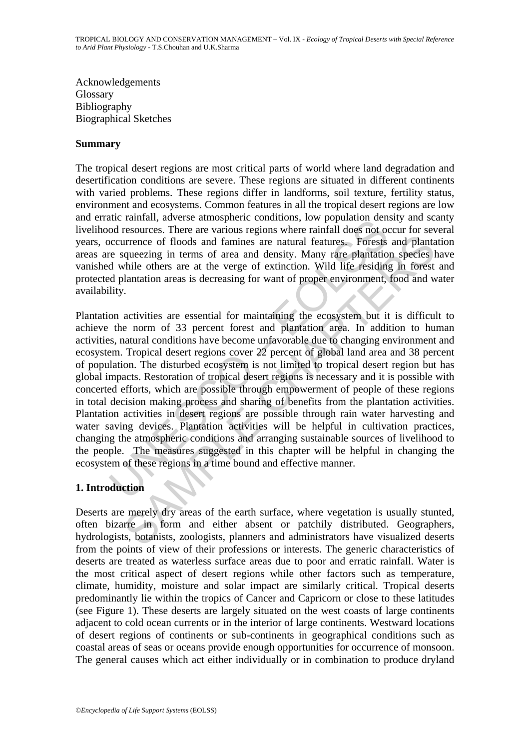Acknowledgements Glossary Bibliography Biographical Sketches

### **Summary**

The tropical desert regions are most critical parts of world where land degradation and desertification conditions are severe. These regions are situated in different continents with varied problems. These regions differ in landforms, soil texture, fertility status, environment and ecosystems. Common features in all the tropical desert regions are low and erratic rainfall, adverse atmospheric conditions, low population density and scanty livelihood resources. There are various regions where rainfall does not occur for several years, occurrence of floods and famines are natural features. Forests and plantation areas are squeezing in terms of area and density. Many rare plantation species have vanished while others are at the verge of extinction. Wild life residing in forest and protected plantation areas is decreasing for want of proper environment, food and water availability.

the ratinal, adverse atmospheric continuously, low population derivation<br>of resources. There are various regions where rainfall does not oo<br>occurrence of floods and famines are natural features. Forests<br>re squeezing in ter Trence of floods and famines are natural features. Forests and planta<br>urence of floods and famines are natural features. Forests and planta<br>queezing in terms of area and density. Many rare plantation species l<br>while others Plantation activities are essential for maintaining the ecosystem but it is difficult to achieve the norm of 33 percent forest and plantation area. In addition to human activities, natural conditions have become unfavorable due to changing environment and ecosystem. Tropical desert regions cover 22 percent of global land area and 38 percent of population. The disturbed ecosystem is not limited to tropical desert region but has global impacts. Restoration of tropical desert regions is necessary and it is possible with concerted efforts, which are possible through empowerment of people of these regions in total decision making process and sharing of benefits from the plantation activities. Plantation activities in desert regions are possible through rain water harvesting and water saving devices. Plantation activities will be helpful in cultivation practices, changing the atmospheric conditions and arranging sustainable sources of livelihood to the people. The measures suggested in this chapter will be helpful in changing the ecosystem of these regions in a time bound and effective manner.

## **1. Introduction**

Deserts are merely dry areas of the earth surface, where vegetation is usually stunted, often bizarre in form and either absent or patchily distributed. Geographers, hydrologists, botanists, zoologists, planners and administrators have visualized deserts from the points of view of their professions or interests. The generic characteristics of deserts are treated as waterless surface areas due to poor and erratic rainfall. Water is the most critical aspect of desert regions while other factors such as temperature, climate, humidity, moisture and solar impact are similarly critical. Tropical deserts predominantly lie within the tropics of Cancer and Capricorn or close to these latitudes (see Figure 1). These deserts are largely situated on the west coasts of large continents adjacent to cold ocean currents or in the interior of large continents. Westward locations of desert regions of continents or sub-continents in geographical conditions such as coastal areas of seas or oceans provide enough opportunities for occurrence of monsoon. The general causes which act either individually or in combination to produce dryland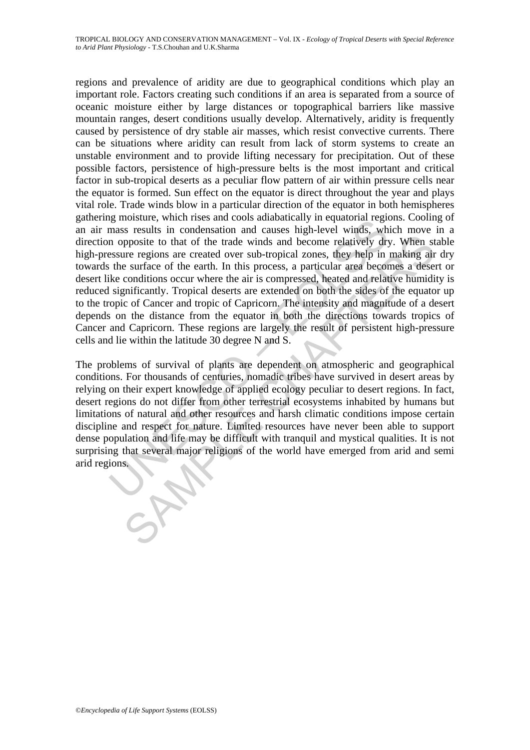ign inostate, when liess and cloors adualatary in equation regularity and the same coordinate regular in a poposite to that of the trade winds and become relatively dry essure regions are created over sub-tropical zones, t posite to that of the trade winds and become relatively dry. When stre regions are created over sub-tropical zones, they help in making air surface of the earth. In this process, a particular area becomes a desert and cond regions and prevalence of aridity are due to geographical conditions which play an important role. Factors creating such conditions if an area is separated from a source of oceanic moisture either by large distances or topographical barriers like massive mountain ranges, desert conditions usually develop. Alternatively, aridity is frequently caused by persistence of dry stable air masses, which resist convective currents. There can be situations where aridity can result from lack of storm systems to create an unstable environment and to provide lifting necessary for precipitation. Out of these possible factors, persistence of high-pressure belts is the most important and critical factor in sub-tropical deserts as a peculiar flow pattern of air within pressure cells near the equator is formed. Sun effect on the equator is direct throughout the year and plays vital role. Trade winds blow in a particular direction of the equator in both hemispheres gathering moisture, which rises and cools adiabatically in equatorial regions. Cooling of an air mass results in condensation and causes high-level winds, which move in a direction opposite to that of the trade winds and become relatively dry. When stable high-pressure regions are created over sub-tropical zones, they help in making air dry towards the surface of the earth. In this process, a particular area becomes a desert or desert like conditions occur where the air is compressed, heated and relative humidity is reduced significantly. Tropical deserts are extended on both the sides of the equator up to the tropic of Cancer and tropic of Capricorn. The intensity and magnitude of a desert depends on the distance from the equator in both the directions towards tropics of Cancer and Capricorn. These regions are largely the result of persistent high-pressure cells and lie within the latitude 30 degree N and S.

The problems of survival of plants are dependent on atmospheric and geographical conditions. For thousands of centuries, nomadic tribes have survived in desert areas by relying on their expert knowledge of applied ecology peculiar to desert regions. In fact, desert regions do not differ from other terrestrial ecosystems inhabited by humans but limitations of natural and other resources and harsh climatic conditions impose certain discipline and respect for nature. Limited resources have never been able to support dense population and life may be difficult with tranquil and mystical qualities. It is not surprising that several major religions of the world have emerged from arid and semi arid regions.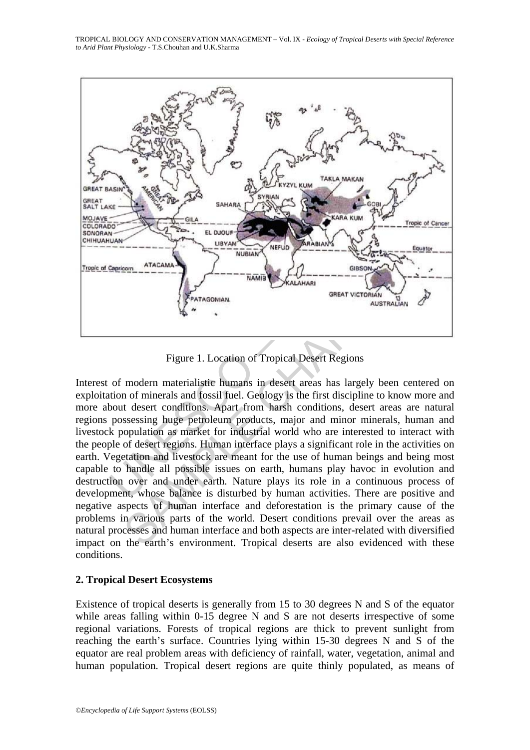TROPICAL BIOLOGY AND CONSERVATION MANAGEMENT – Vol. IX - *Ecology of Tropical Deserts with Special Reference to Arid Plant Physiology* - T.S.Chouhan and U.K.Sharma



Figure 1. Location of Tropical Desert Regions

SERVICE THE CHAPTER CHAPTER CHAPTER CHAPTER CHAPTER CHAPTER CHAPTER CHAPTER CHAPTER CHAPTER CHAPTER CHAPTER CHAPTER CHAPTER CHAPTER CHAPTER CHAPTER CHAPTER CHAPTER CHAPTER CHAPTER CHAPTER CHAPTER CHAPTER CHAPTER OF THE CHA Interest of modern materialistic humans in desert areas has largely been centered on exploitation of minerals and fossil fuel. Geology is the first discipline to know more and more about desert conditions. Apart from harsh conditions, desert areas are natural regions possessing huge petroleum products, major and minor minerals, human and livestock population as market for industrial world who are interested to interact with the people of desert regions. Human interface plays a significant role in the activities on earth. Vegetation and livestock are meant for the use of human beings and being most capable to handle all possible issues on earth, humans play havoc in evolution and destruction over and under earth. Nature plays its role in a continuous process of development, whose balance is disturbed by human activities. There are positive and negative aspects of human interface and deforestation is the primary cause of the problems in various parts of the world. Desert conditions prevail over the areas as natural processes and human interface and both aspects are inter-related with diversified impact on the earth's environment. Tropical deserts are also evidenced with these conditions.

## **2. Tropical Desert Ecosystems**

Existence of tropical deserts is generally from 15 to 30 degrees N and S of the equator while areas falling within 0-15 degree N and S are not deserts irrespective of some regional variations. Forests of tropical regions are thick to prevent sunlight from reaching the earth's surface. Countries lying within 15-30 degrees N and S of the equator are real problem areas with deficiency of rainfall, water, vegetation, animal and human population. Tropical desert regions are quite thinly populated, as means of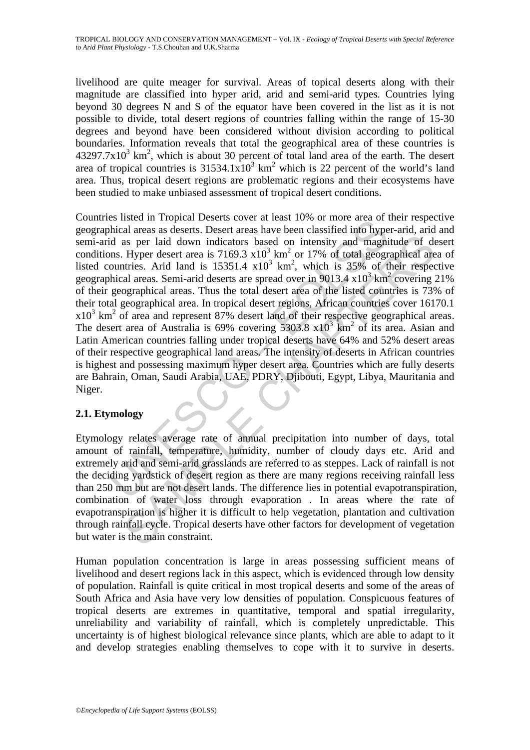livelihood are quite meager for survival. Areas of topical deserts along with their magnitude are classified into hyper arid, arid and semi-arid types. Countries lying beyond 30 degrees N and S of the equator have been covered in the list as it is not possible to divide, total desert regions of countries falling within the range of 15-30 degrees and beyond have been considered without division according to political boundaries. Information reveals that total the geographical area of these countries is  $43297.7x10<sup>3</sup>$  km<sup>2</sup>, which is about 30 percent of total land area of the earth. The desert area of tropical countries is  $31534.1x10^3$  km<sup>2</sup> which is 22 percent of the world's land area. Thus, tropical desert regions are problematic regions and their ecosystems have been studied to make unbiased assessment of tropical desert conditions.

es issel in Tipplan Desetis Cover a reast 10% of and ot a cao<br>thicial areas a deserts. Desert areas have been classified into hyperdial areas a deserts. Desert areas have been classified into hyperdon. Hyper desert area i as per laid down indicators based on intensity and magnitude of deflyper desert area is  $7169.3 \times 10^{3}$  km<sup>2</sup> or  $17\%$  of total geographical are all land is  $15351.4 \times 10^{3}$  km<sup>2</sup>, which is  $35\%$  of their respected an Countries listed in Tropical Deserts cover at least 10% or more area of their respective geographical areas as deserts. Desert areas have been classified into hyper-arid, arid and semi-arid as per laid down indicators based on intensity and magnitude of desert conditions. Hyper desert area is  $7169.3 \times 10^3$  km<sup>2</sup> or 17% of total geographical area of listed countries. Arid land is  $15351.4 \times 10^3$  km<sup>2</sup>, which is  $35\%$  of their respective geographical areas. Semi-arid deserts are spread over in 9013.4  $x10^3$  km<sup>2</sup> covering 21% of their geographical areas. Thus the total desert area of the listed countries is 73% of their total geographical area. In tropical desert regions, African countries cover 16170.1  $x10<sup>3</sup>$  km<sup>2</sup> of area and represent 87% desert land of their respective geographical areas. The desert area of Australia is 69% covering 5303.8  $x10^3$  km<sup>2</sup> of its area. Asian and Latin American countries falling under tropical deserts have 64% and 52% desert areas of their respective geographical land areas. The intensity of deserts in African countries is highest and possessing maximum hyper desert area. Countries which are fully deserts are Bahrain, Oman, Saudi Arabia, UAE, PDRY, Djibouti, Egypt, Libya, Mauritania and Niger.

## **2.1. Etymology**

Etymology relates average rate of annual precipitation into number of days, total amount of rainfall, temperature, humidity, number of cloudy days etc. Arid and extremely arid and semi-arid grasslands are referred to as steppes. Lack of rainfall is not the deciding yardstick of desert region as there are many regions receiving rainfall less than 250 mm but are not desert lands. The difference lies in potential evapotranspiration, combination of water loss through evaporation . In areas where the rate of evapotranspiration is higher it is difficult to help vegetation, plantation and cultivation through rainfall cycle. Tropical deserts have other factors for development of vegetation but water is the main constraint.

Human population concentration is large in areas possessing sufficient means of livelihood and desert regions lack in this aspect, which is evidenced through low density of population. Rainfall is quite critical in most tropical deserts and some of the areas of South Africa and Asia have very low densities of population. Conspicuous features of tropical deserts are extremes in quantitative, temporal and spatial irregularity, unreliability and variability of rainfall, which is completely unpredictable. This uncertainty is of highest biological relevance since plants, which are able to adapt to it and develop strategies enabling themselves to cope with it to survive in deserts.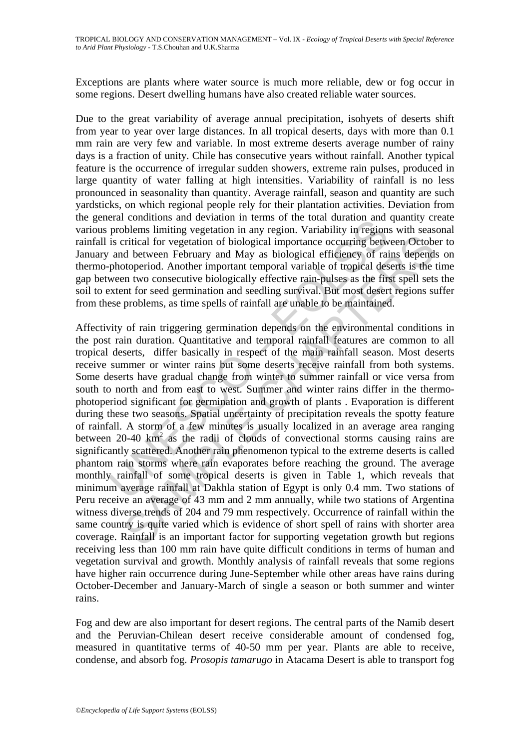Exceptions are plants where water source is much more reliable, dew or fog occur in some regions. Desert dwelling humans have also created reliable water sources.

Due to the great variability of average annual precipitation, isohyets of deserts shift from year to year over large distances. In all tropical deserts, days with more than 0.1 mm rain are very few and variable. In most extreme deserts average number of rainy days is a fraction of unity. Chile has consecutive years without rainfall. Another typical feature is the occurrence of irregular sudden showers, extreme rain pulses, produced in large quantity of water falling at high intensities. Variability of rainfall is no less pronounced in seasonality than quantity. Average rainfall, season and quantity are such yardsticks, on which regional people rely for their plantation activities. Deviation from the general conditions and deviation in terms of the total duration and quantity create various problems limiting vegetation in any region. Variability in regions with seasonal rainfall is critical for vegetation of biological importance occurring between October to January and between February and May as biological efficiency of rains depends on thermo-photoperiod. Another important temporal variable of tropical deserts is the time gap between two consecutive biologically effective rain-pulses as the first spell sets the soil to extent for seed germination and seedling survival. But most desert regions suffer from these problems, as time spells of rainfall are unable to be maintained.

Franchinos and evivation in tents of the total duration and<br>problems limiting vegetation in any region. Variability in region<br>is critical for vegetation in any region. Variability in region<br>is critical for vegetation of b iritical for vegetation of biological importance occurring between Octobd<br>chetween February and May as biological efficiency of rains depend<br>otoperiod. Another important temporal variable of tropical deserts is the<br>proton-Affectivity of rain triggering germination depends on the environmental conditions in the post rain duration. Quantitative and temporal rainfall features are common to all tropical deserts, differ basically in respect of the main rainfall season. Most deserts receive summer or winter rains but some deserts receive rainfall from both systems. Some deserts have gradual change from winter to summer rainfall or vice versa from south to north and from east to west. Summer and winter rains differ in the thermophotoperiod significant for germination and growth of plants . Evaporation is different during these two seasons. Spatial uncertainty of precipitation reveals the spotty feature of rainfall. A storm of a few minutes is usually localized in an average area ranging between  $20-40$  km<sup>2</sup> as the radii of clouds of convectional storms causing rains are significantly scattered. Another rain phenomenon typical to the extreme deserts is called phantom rain storms where rain evaporates before reaching the ground. The average monthly rainfall of some tropical deserts is given in Table 1, which reveals that minimum average rainfall at Dakhla station of Egypt is only 0.4 mm. Two stations of Peru receive an average of 43 mm and 2 mm annually, while two stations of Argentina witness diverse trends of 204 and 79 mm respectively. Occurrence of rainfall within the same country is quite varied which is evidence of short spell of rains with shorter area coverage. Rainfall is an important factor for supporting vegetation growth but regions receiving less than 100 mm rain have quite difficult conditions in terms of human and vegetation survival and growth. Monthly analysis of rainfall reveals that some regions have higher rain occurrence during June-September while other areas have rains during October-December and January-March of single a season or both summer and winter rains.

Fog and dew are also important for desert regions. The central parts of the Namib desert and the Peruvian-Chilean desert receive considerable amount of condensed fog, measured in quantitative terms of 40-50 mm per year. Plants are able to receive, condense, and absorb fog. *Prosopis tamarugo* in Atacama Desert is able to transport fog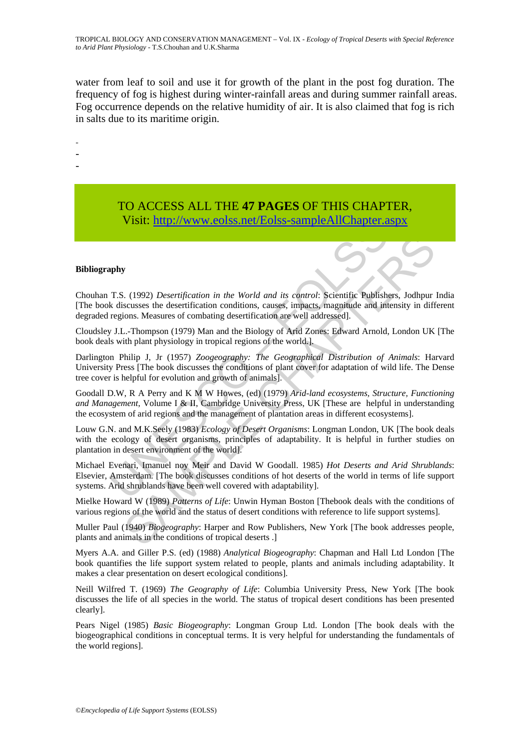water from leaf to soil and use it for growth of the plant in the post fog duration. The frequency of fog is highest during winter-rainfall areas and during summer rainfall areas. Fog occurrence depends on the relative humidity of air. It is also claimed that fog is rich in salts due to its maritime origin.

-

- -
- -
- TO ACCESS ALL THE **47 PAGES** OF THIS CHAPTER, Visit: http://www.eolss.net/Eolss-sampleAllChapter.aspx

#### **Bibliography**

Chouhan T.S. (1992) *Desertification in the World and its control*: Scientific Publishers, Jodhpur India [The book discusses the desertification conditions, causes, impacts, magnitude and intensity in different degraded regions. Measures of combating desertification are well addressed].

Cloudsley J.L.-Thompson (1979) Man and the Biology of Arid Zones: Edward Arnold, London UK [The book deals with plant physiology in tropical regions of the world.].

Darlington Philip J, Jr (1957) *Zoogeography: The Geographical Distribution of Animals*: Harvard University Press [The book discusses the conditions of plant cover for adaptation of wild life. The Dense tree cover is helpful for evolution and growth of animals].

V1811: http://www.eolss.net/Eolss-sampleAllChapter.a<br>
apply<br>
T.[S](https://www.eolss.net/ebooklib/sc_cart.aspx?File=E6-142-DE-10). (1992) *Desertification in the World and its control*: Scientific Publishs<br>
k discusses the desertification conditions, causes, impacts, magnitude and in<br>
r **SAMPLE CONTINUATION**<br>
S. (1992) *Desertification in the World and its control:* Scientific Publishers, Jodhpur<br>
scusses the desertification conditions, causes, impacts, magnitude and intensity in diff<br>
ions. Measures of Goodall D.W, R A Perry and K M W Howes, (ed) (1979) *Arid-land ecosystems, Structure, Functioning and Management*, Volume I & II, Cambridge University Press, UK [These are helpful in understanding the ecosystem of arid regions and the management of plantation areas in different ecosystems].

Louw G.N. and M.K.Seely (1983) *Ecology of Desert Organisms*: Longman London, UK [The book deals with the ecology of desert organisms, principles of adaptability. It is helpful in further studies on plantation in desert environment of the world].

Michael Evenari, Imanuel noy Meir and David W Goodall. 1985) *Hot Deserts and Arid Shrublands*: Elsevier, Amsterdam. [The book discusses conditions of hot deserts of the world in terms of life support systems. Arid shrublands have been well covered with adaptability].

Mielke Howard W (1989) *Patterns of Life*: Unwin Hyman Boston [Thebook deals with the conditions of various regions of the world and the status of desert conditions with reference to life support systems].

Muller Paul (1940) *Biogeography*: Harper and Row Publishers, New York [The book addresses people, plants and animals in the conditions of tropical deserts .]

Myers A.A. and Giller P.S. (ed) (1988) *Analytical Biogeography*: Chapman and Hall Ltd London [The book quantifies the life support system related to people, plants and animals including adaptability. It makes a clear presentation on desert ecological conditions].

Neill Wilfred T. (1969) *The Geography of Life*: Columbia University Press, New York [The book discusses the life of all species in the world. The status of tropical desert conditions has been presented clearly].

Pears Nigel (1985) *Basic Biogeography*: Longman Group Ltd. London [The book deals with the biogeographical conditions in conceptual terms. It is very helpful for understanding the fundamentals of the world regions].